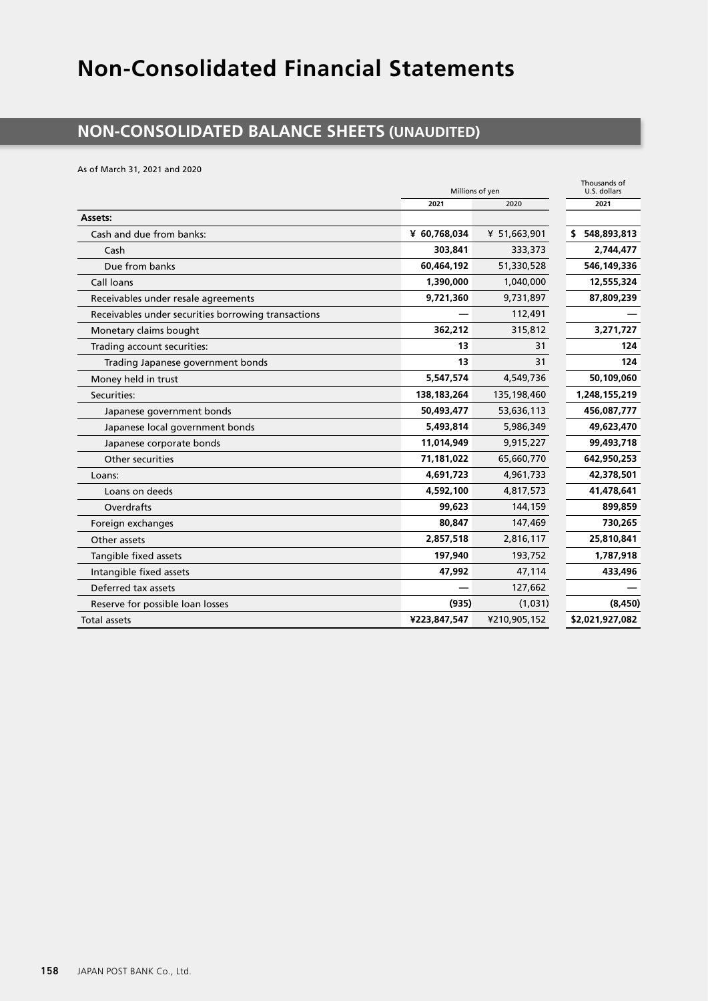# **Non-Consolidated Financial Statements**

#### **NON-CONSOLIDATED BALANCE SHEETS (UNAUDITED)**

As of March 31, 2021 and 2020

|                                                     | Millions of yen | Thousands of<br>U.S. dollars |                   |
|-----------------------------------------------------|-----------------|------------------------------|-------------------|
|                                                     | 2021            | 2020                         | 2021              |
| Assets:                                             |                 |                              |                   |
| Cash and due from banks:                            | ¥ 60,768,034    | ¥ 51,663,901                 | 548,893,813<br>S. |
| Cash                                                | 303,841         | 333,373                      | 2,744,477         |
| Due from banks                                      | 60,464,192      | 51,330,528                   | 546,149,336       |
| Call loans                                          | 1,390,000       | 1,040,000                    | 12,555,324        |
| Receivables under resale agreements                 | 9,721,360       | 9,731,897                    | 87,809,239        |
| Receivables under securities borrowing transactions |                 | 112,491                      |                   |
| Monetary claims bought                              | 362,212         | 315,812                      | 3,271,727         |
| Trading account securities:                         | 13              | 31                           | 124               |
| Trading Japanese government bonds                   | 13              | 31                           | 124               |
| Money held in trust                                 | 5,547,574       | 4,549,736                    | 50,109,060        |
| Securities:                                         | 138,183,264     | 135,198,460                  | 1,248,155,219     |
| Japanese government bonds                           | 50,493,477      | 53,636,113                   | 456,087,777       |
| Japanese local government bonds                     | 5,493,814       | 5,986,349                    | 49,623,470        |
| Japanese corporate bonds                            | 11,014,949      | 9,915,227                    | 99,493,718        |
| Other securities                                    | 71,181,022      | 65,660,770                   | 642,950,253       |
| Loans:                                              | 4,691,723       | 4,961,733                    | 42,378,501        |
| Loans on deeds                                      | 4,592,100       | 4,817,573                    | 41,478,641        |
| Overdrafts                                          | 99,623          | 144,159                      | 899,859           |
| Foreign exchanges                                   | 80,847          | 147,469                      | 730,265           |
| Other assets                                        | 2,857,518       | 2,816,117                    | 25,810,841        |
| Tangible fixed assets                               | 197,940         | 193,752                      | 1,787,918         |
| Intangible fixed assets                             | 47,992          | 47,114                       | 433,496           |
| Deferred tax assets                                 |                 | 127,662                      |                   |
| Reserve for possible loan losses                    | (935)           | (1,031)                      | (8, 450)          |
| <b>Total assets</b>                                 | ¥223,847,547    | ¥210,905,152                 | \$2,021,927,082   |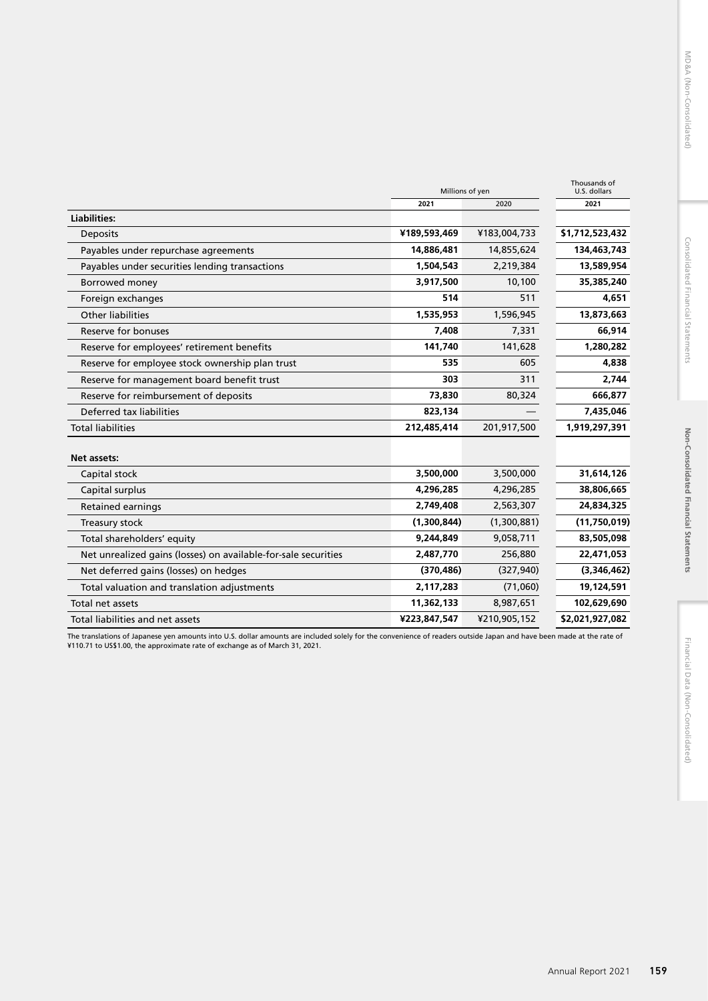|                                                                | Millions of yen | Thousands of<br>U.S. dollars |                 |
|----------------------------------------------------------------|-----------------|------------------------------|-----------------|
|                                                                | 2021            | 2020                         | 2021            |
| <b>Liabilities:</b>                                            |                 |                              |                 |
| <b>Deposits</b>                                                | ¥189,593,469    | ¥183,004,733                 | \$1,712,523,432 |
| Payables under repurchase agreements                           | 14,886,481      | 14,855,624                   | 134,463,743     |
| Payables under securities lending transactions                 | 1,504,543       | 2,219,384                    | 13,589,954      |
| Borrowed money                                                 | 3,917,500       | 10,100                       | 35,385,240      |
| Foreign exchanges                                              | 514             | 511                          | 4,651           |
| Other liabilities                                              | 1,535,953       | 1,596,945                    | 13,873,663      |
| Reserve for bonuses                                            | 7,408           | 7,331                        | 66,914          |
| Reserve for employees' retirement benefits                     | 141,740         | 141,628                      | 1,280,282       |
| Reserve for employee stock ownership plan trust                | 535             | 605                          | 4,838           |
| Reserve for management board benefit trust                     | 303             | 311                          | 2,744           |
| Reserve for reimbursement of deposits                          | 73,830          | 80,324                       | 666,877         |
| Deferred tax liabilities                                       | 823,134         |                              | 7,435,046       |
| <b>Total liabilities</b>                                       | 212,485,414     | 201,917,500                  | 1,919,297,391   |
|                                                                |                 |                              |                 |
| Net assets:                                                    |                 |                              |                 |
| Capital stock                                                  | 3,500,000       | 3,500,000                    | 31,614,126      |
| Capital surplus                                                | 4,296,285       | 4,296,285                    | 38,806,665      |
| <b>Retained earnings</b>                                       | 2,749,408       | 2,563,307                    | 24,834,325      |
| Treasury stock                                                 | (1,300,844)     | (1,300,881)                  | (11,750,019)    |
| Total shareholders' equity                                     | 9,244,849       | 9,058,711                    | 83,505,098      |
| Net unrealized gains (losses) on available-for-sale securities | 2,487,770       | 256,880                      | 22,471,053      |
| Net deferred gains (losses) on hedges                          | (370, 486)      | (327, 940)                   | (3,346,462)     |
| Total valuation and translation adjustments                    | 2,117,283       | (71,060)                     | 19,124,591      |
| Total net assets                                               | 11,362,133      | 8,987,651                    | 102,629,690     |
| Total liabilities and net assets                               | ¥223,847,547    | ¥210,905,152                 | \$2,021,927,082 |

The translations of Japanese yen amounts into U.S. dollar amounts are included solely for the convenience of readers outside Japan and have been made at the rate of<br>¥110.71 to US\$1.00, the approximate rate of exchange as o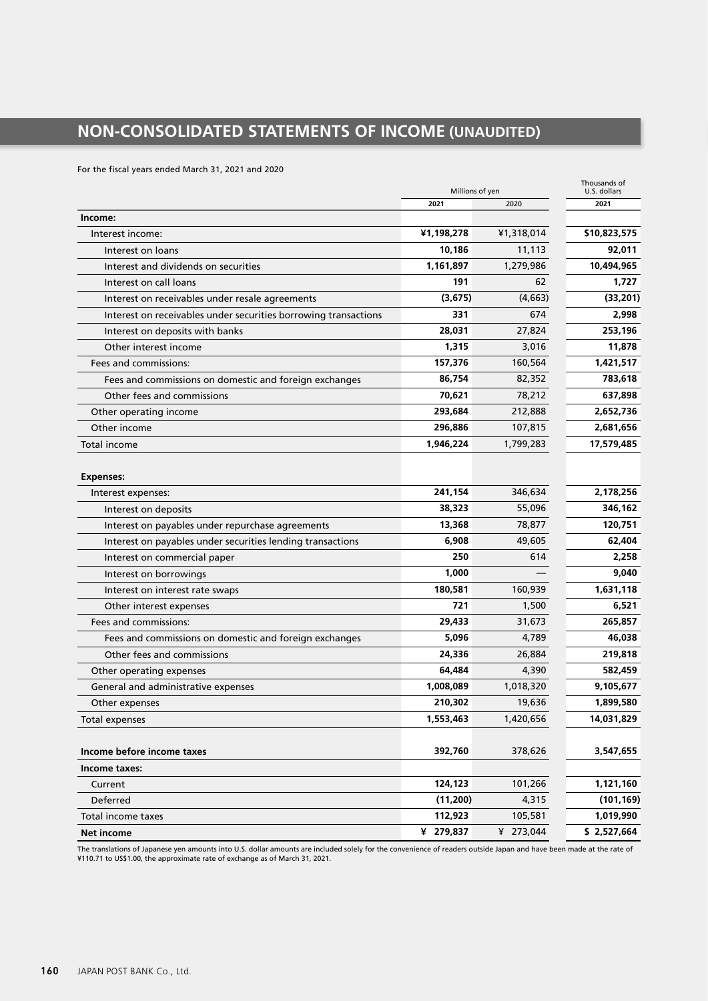### **NON-CONSOLIDATED STATEMENTS OF INCOME (UNAUDITED)**

For the fiscal years ended March 31, 2021 and 2020

|                                                                 | Millions of yen | Thousands of<br>U.S. dollars |              |
|-----------------------------------------------------------------|-----------------|------------------------------|--------------|
|                                                                 | 2021            | 2020                         | 2021         |
| Income:                                                         |                 |                              |              |
| Interest income:                                                | ¥1,198,278      | ¥1,318,014                   | \$10,823,575 |
| Interest on loans                                               | 10,186          | 11,113                       | 92,011       |
| Interest and dividends on securities                            | 1,161,897       | 1,279,986                    | 10,494,965   |
| Interest on call loans                                          | 191             | 62                           | 1,727        |
| Interest on receivables under resale agreements                 | (3,675)         | (4,663)                      | (33, 201)    |
| Interest on receivables under securities borrowing transactions | 331             | 674                          | 2,998        |
| Interest on deposits with banks                                 | 28,031          | 27,824                       | 253,196      |
| Other interest income                                           | 1.315           | 3,016                        | 11,878       |
| Fees and commissions:                                           | 157,376         | 160,564                      | 1,421,517    |
| Fees and commissions on domestic and foreign exchanges          | 86,754          | 82,352                       | 783,618      |
| Other fees and commissions                                      | 70,621          | 78,212                       | 637,898      |
| Other operating income                                          | 293,684         | 212,888                      | 2,652,736    |
| Other income                                                    | 296,886         | 107,815                      | 2,681,656    |
| Total income                                                    | 1.946.224       | 1,799,283                    | 17,579,485   |
|                                                                 |                 |                              |              |
| <b>Expenses:</b>                                                |                 |                              |              |
| Interest expenses:                                              | 241,154         | 346.634                      | 2,178,256    |
| Interest on deposits                                            | 38,323          | 55,096                       | 346,162      |
| Interest on payables under repurchase agreements                | 13,368          | 78,877                       | 120,751      |
| Interest on payables under securities lending transactions      | 6,908           | 49,605                       | 62,404       |
| Interest on commercial paper                                    | 250             | 614                          | 2,258        |
| Interest on borrowings                                          | 1,000           |                              | 9,040        |
| Interest on interest rate swaps                                 | 180,581         | 160,939                      | 1,631,118    |
| Other interest expenses                                         | 721             | 1,500                        | 6,521        |
| Fees and commissions:                                           | 29,433          | 31,673                       | 265,857      |
| Fees and commissions on domestic and foreign exchanges          | 5,096           | 4,789                        | 46,038       |
| Other fees and commissions                                      | 24,336          | 26,884                       | 219,818      |
| Other operating expenses                                        | 64,484          | 4,390                        | 582,459      |
| General and administrative expenses                             | 1,008,089       | 1,018,320                    | 9,105,677    |
| Other expenses                                                  | 210,302         | 19,636                       | 1,899,580    |
| <b>Total expenses</b>                                           | 1,553,463       | 1,420,656                    | 14,031,829   |
|                                                                 |                 |                              |              |
| Income before income taxes                                      | 392,760         | 378,626                      | 3,547,655    |
| Income taxes:                                                   |                 |                              |              |
| Current                                                         | 124,123         | 101,266                      | 1,121,160    |
| Deferred                                                        | (11,200)        | 4,315                        | (101, 169)   |
| Total income taxes                                              | 112,923         | 105,581                      | 1,019,990    |
| <b>Net income</b>                                               | ¥ 279,837       | ¥ 273,044                    | \$2,527,664  |

The translations of Japanese yen amounts into U.S. dollar amounts are included solely for the convenience of readers outside Japan and have been made at the rate of<br>¥110.71 to US\$1.00, the approximate rate of exchange as o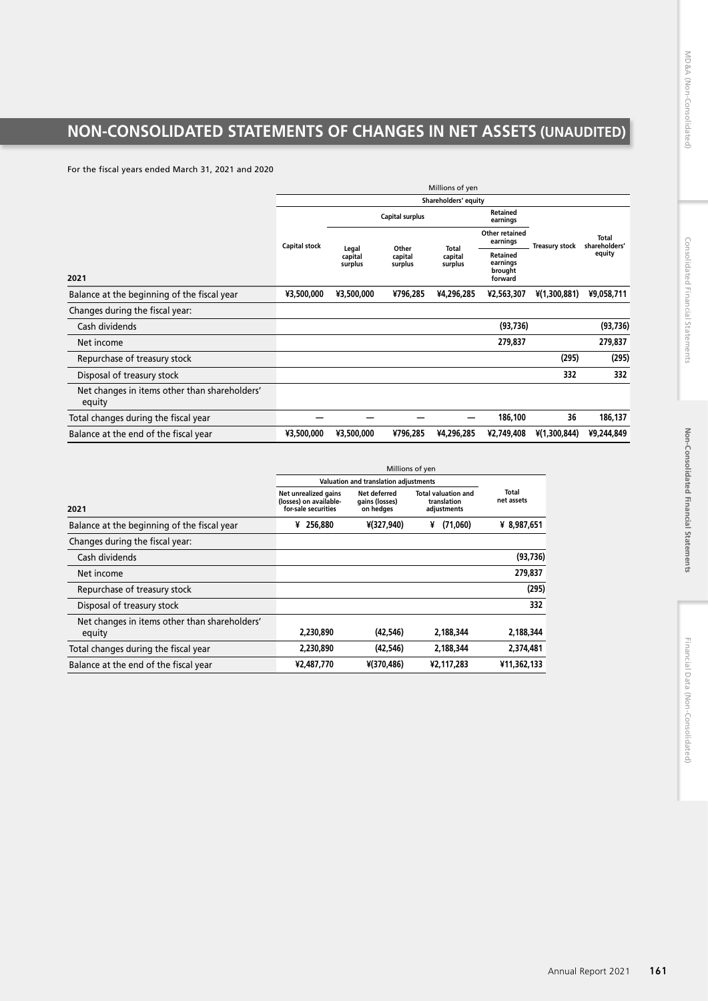## **NON-CONSOLIDATED STATEMENTS OF CHANGES IN NET ASSETS (UNAUDITED)**

For the fiscal years ended March 31, 2021 and 2020

|                                                         | Millions of yen      |                    |                        |              |                             |                       |                               |  |  |  |  |  |  |  |  |  |                    |  |  |                                                   |  |        |
|---------------------------------------------------------|----------------------|--------------------|------------------------|--------------|-----------------------------|-----------------------|-------------------------------|--|--|--|--|--|--|--|--|--|--------------------|--|--|---------------------------------------------------|--|--------|
|                                                         | Shareholders' equity |                    |                        |              |                             |                       |                               |  |  |  |  |  |  |  |  |  |                    |  |  |                                                   |  |        |
|                                                         |                      |                    | <b>Capital surplus</b> |              | <b>Retained</b><br>earnings |                       |                               |  |  |  |  |  |  |  |  |  |                    |  |  |                                                   |  |        |
|                                                         | <b>Capital stock</b> | Legal              | Other                  | <b>Total</b> | Other retained<br>earnings  | <b>Treasury stock</b> | <b>Total</b><br>shareholders' |  |  |  |  |  |  |  |  |  |                    |  |  |                                                   |  |        |
| 2021                                                    | capital<br>surplus   | capital<br>surplus |                        |              |                             |                       |                               |  |  |  |  |  |  |  |  |  | capital<br>surplus |  |  | <b>Retained</b><br>earnings<br>brought<br>forward |  | equity |
|                                                         |                      |                    |                        |              |                             |                       |                               |  |  |  |  |  |  |  |  |  |                    |  |  |                                                   |  |        |
| Balance at the beginning of the fiscal year             | ¥3,500,000           | ¥3,500,000         | ¥796,285               | ¥4,296,285   | ¥2,563,307                  | $*(1,300,881)$        | ¥9,058,711                    |  |  |  |  |  |  |  |  |  |                    |  |  |                                                   |  |        |
| Changes during the fiscal year:                         |                      |                    |                        |              |                             |                       |                               |  |  |  |  |  |  |  |  |  |                    |  |  |                                                   |  |        |
| Cash dividends                                          |                      |                    |                        |              | (93, 736)                   |                       | (93, 736)                     |  |  |  |  |  |  |  |  |  |                    |  |  |                                                   |  |        |
| Net income                                              |                      |                    |                        |              | 279,837                     |                       | 279,837                       |  |  |  |  |  |  |  |  |  |                    |  |  |                                                   |  |        |
| Repurchase of treasury stock                            |                      |                    |                        |              |                             | (295)                 | (295)                         |  |  |  |  |  |  |  |  |  |                    |  |  |                                                   |  |        |
| Disposal of treasury stock                              |                      |                    |                        |              |                             | 332                   | 332                           |  |  |  |  |  |  |  |  |  |                    |  |  |                                                   |  |        |
| Net changes in items other than shareholders'<br>equity |                      |                    |                        |              |                             |                       |                               |  |  |  |  |  |  |  |  |  |                    |  |  |                                                   |  |        |
| Total changes during the fiscal year                    |                      |                    |                        |              | 186,100                     | 36                    | 186,137                       |  |  |  |  |  |  |  |  |  |                    |  |  |                                                   |  |        |
| Balance at the end of the fiscal year                   | ¥3,500,000           | ¥3,500,000         | ¥796,285               | ¥4,296,285   | ¥2,749,408                  | $*(1,300,844)$        | ¥9,244,849                    |  |  |  |  |  |  |  |  |  |                    |  |  |                                                   |  |        |

|                                               | Valuation and translation adjustments                                 |                                             |                                                          |                     |
|-----------------------------------------------|-----------------------------------------------------------------------|---------------------------------------------|----------------------------------------------------------|---------------------|
| 2021                                          | Net unrealized gains<br>(losses) on available-<br>for-sale securities | Net deferred<br>gains (losses)<br>on hedges | <b>Total valuation and</b><br>translation<br>adjustments | Total<br>net assets |
| Balance at the beginning of the fiscal year   | 256,880<br>¥                                                          | ¥(327,940)                                  | (71,060)<br>¥                                            | ¥ 8,987,651         |
| Changes during the fiscal year:               |                                                                       |                                             |                                                          |                     |
| Cash dividends                                |                                                                       |                                             |                                                          | (93, 736)           |
| Net income                                    |                                                                       |                                             |                                                          | 279,837             |
| Repurchase of treasury stock                  |                                                                       |                                             |                                                          | (295)               |
| Disposal of treasury stock                    |                                                                       |                                             |                                                          | 332                 |
| Net changes in items other than shareholders' |                                                                       |                                             |                                                          |                     |
| equity                                        | 2,230,890                                                             | (42.546)                                    | 2.188.344                                                | 2,188,344           |
| Total changes during the fiscal year          | 2,230,890                                                             | (42,546)                                    | 2,188,344                                                | 2,374,481           |
| Balance at the end of the fiscal year         | ¥2,487,770                                                            | ¥(370,486)                                  | ¥2,117,283                                               | ¥11,362,133         |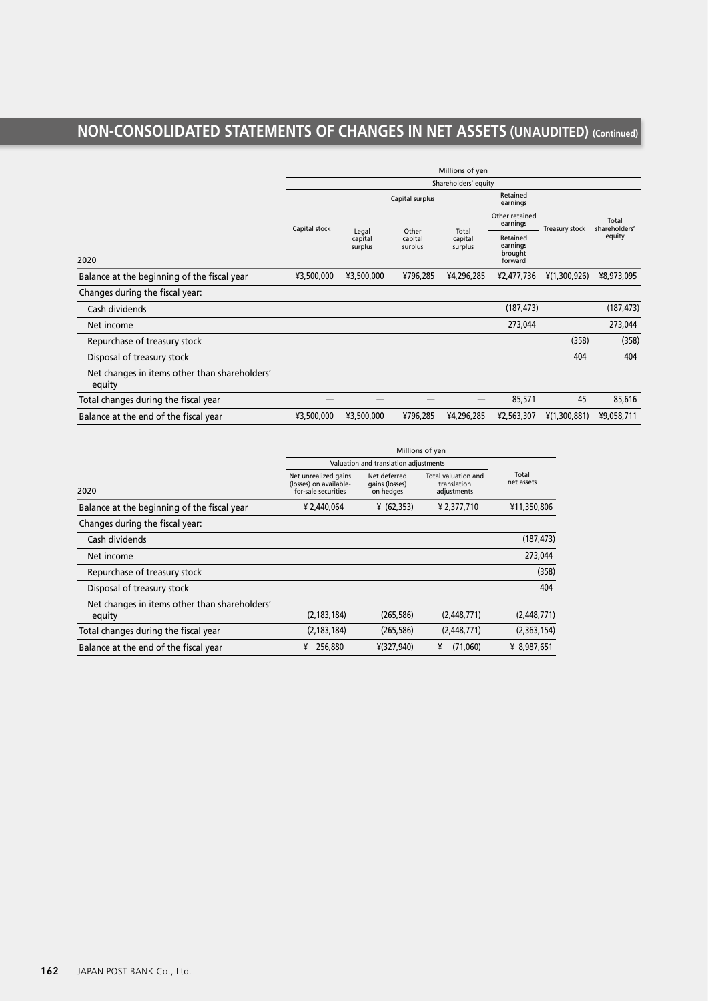### **NON-CONSOLIDATED STATEMENTS OF CHANGES IN NET ASSETS (UNAUDITED) (Continued)**

|                                                         | Millions of yen      |                             |                    |                    |                                            |                            |                |                        |
|---------------------------------------------------------|----------------------|-----------------------------|--------------------|--------------------|--------------------------------------------|----------------------------|----------------|------------------------|
|                                                         | Shareholders' equity |                             |                    |                    |                                            |                            |                |                        |
|                                                         |                      |                             | Capital surplus    |                    | Retained<br>earnings                       |                            |                |                        |
|                                                         | Capital stock        |                             | Other              |                    | Total                                      | Other retained<br>earnings | Treasury stock | Total<br>shareholders' |
| 2020                                                    |                      | Legal<br>capital<br>surplus | capital<br>surplus | capital<br>surplus | Retained<br>earnings<br>brought<br>forward |                            | equity         |                        |
| Balance at the beginning of the fiscal year             | ¥3,500,000           | ¥3,500,000                  | ¥796,285           | ¥4,296,285         | ¥2,477,736                                 | $\frac{1}{2}(1,300,926)$   | ¥8,973,095     |                        |
| Changes during the fiscal year:                         |                      |                             |                    |                    |                                            |                            |                |                        |
| Cash dividends                                          |                      |                             |                    |                    | (187, 473)                                 |                            | (187, 473)     |                        |
| Net income                                              |                      |                             |                    |                    | 273,044                                    |                            | 273,044        |                        |
| Repurchase of treasury stock                            |                      |                             |                    |                    |                                            | (358)                      | (358)          |                        |
| Disposal of treasury stock                              |                      |                             |                    |                    |                                            | 404                        | 404            |                        |
| Net changes in items other than shareholders'<br>equity |                      |                             |                    |                    |                                            |                            |                |                        |
| Total changes during the fiscal year                    |                      |                             |                    |                    | 85,571                                     | 45                         | 85,616         |                        |
| Balance at the end of the fiscal year                   | ¥3,500,000           | ¥3,500,000                  | ¥796,285           | ¥4,296,285         | ¥2,563,307                                 | $\frac{1}{2}(1,300,881)$   | ¥9,058,711     |                        |

|                                               | Millions of yen                                                       |                                             |                                                   |                     |  |  |  |  |
|-----------------------------------------------|-----------------------------------------------------------------------|---------------------------------------------|---------------------------------------------------|---------------------|--|--|--|--|
|                                               | Valuation and translation adjustments                                 |                                             |                                                   |                     |  |  |  |  |
| 2020                                          | Net unrealized gains<br>(losses) on available-<br>for-sale securities | Net deferred<br>gains (losses)<br>on hedges | Total valuation and<br>translation<br>adjustments | Total<br>net assets |  |  |  |  |
| Balance at the beginning of the fiscal year   | ¥ 2,440,064                                                           | (62, 353)                                   | ¥ 2,377,710                                       | ¥11,350,806         |  |  |  |  |
| Changes during the fiscal year:               |                                                                       |                                             |                                                   |                     |  |  |  |  |
| Cash dividends                                |                                                                       |                                             |                                                   | (187, 473)          |  |  |  |  |
| Net income                                    |                                                                       |                                             |                                                   | 273,044             |  |  |  |  |
| Repurchase of treasury stock                  |                                                                       |                                             |                                                   | (358)               |  |  |  |  |
| Disposal of treasury stock                    |                                                                       |                                             |                                                   | 404                 |  |  |  |  |
| Net changes in items other than shareholders' |                                                                       |                                             |                                                   |                     |  |  |  |  |
| equity                                        | (2, 183, 184)                                                         | (265, 586)                                  | (2,448,771)                                       | (2,448,771)         |  |  |  |  |
| Total changes during the fiscal year          | (2, 183, 184)                                                         | (265, 586)                                  | (2,448,771)                                       | (2,363,154)         |  |  |  |  |
| Balance at the end of the fiscal year         | 256,880<br>¥                                                          | $*(327, 940)$                               | (71,060)<br>¥                                     | ¥ 8,987,651         |  |  |  |  |